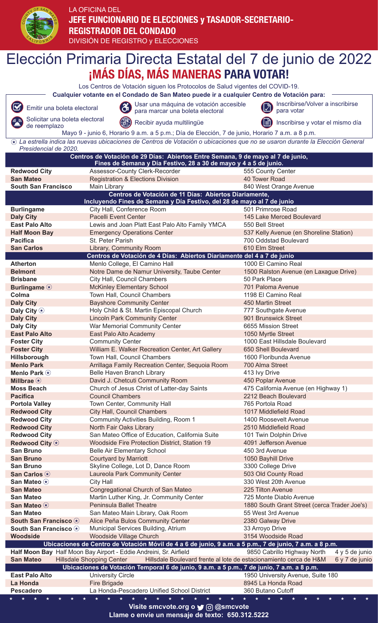

## LA OFICINA DEL **JEFE FUNCIONARIO DE ELECCIONES y TASADOR-SECRETARIO-REGISTRADOR DEL CONDADO** DIVISIÓN DE REGISTRO y ELECCIONES

Elección Primaria Directa Estatal del 7 de junio de 2022**¡MÁS DÍAS, MÁS MANERAS PARA VOTAR!** Los Centros de Votación siguen los Protocolos de Salud vigentes del COVID-19. **Cualquier votante en el Condado de San Mateo puede ir a cualquier Centro de Votación para:** Emitir una boleta electoral (2) Usar una máquina de votación accesible (2) Inscribirse/Volver a inscribirse (2)  $\boldsymbol{\nabla}$ para votar para marcar una boleta electoral Solicitar una boleta electoral Solicitat una boleta electoral (allegation Recibir ayuda multilingüe Inscribirse y votar el mismo día Mayo 9 - junio 6, Horario 9 a.m. a 5 p.m.; Día de Elección, 7 de junio, Horario 7 a.m. a 8 p.m. *La estrella indica las nuevas ubicaciones de Centros de Votación o ubicaciones que no se usaron durante la Elección General Presidencial de 2020.* **Centros de Votación de 29 Días: Abiertos Entre Semana, 9 de mayo al 7 de junio, Fines de Semana y Día Festivo, 28 a 30 de mayo y 4 a 5 de junio.** Redwood City **Assessor-County Clerk-Recorder** 555 County Center **San Mateo Registration & Elections Division 10 Tower Road South San Francisco** Main Library **840 Metal 10 August 2016** Main Library 840 West Orange Avenue **Centros de Votación de 11 Días: Abiertos Diariamente, Incluyendo Fines de Semana y Día Festivo, del 28 de mayo al 7 de junio** Burlingame **City Hall, Conference Room** 501 Primrose Road **Daly City**<br> **Pacelli Event Center 145 Lake Merced Boulevard**<br> **East Palo Alto Alto Lewis and Joan Platt East Palo Alto Family YMCA** 550 Bell Street Lewis and Joan Platt East Palo Alto Family YMCA 550 Bell Street **Half Moon Bay** Emergency Operations Center 537 Kelly Avenue (en Shoreline Station) **Pacifica** St. Peter Parish 700 Oddstad Boulevard<br>
St. Peter Parish 700 Oddstad Boulevard<br>
Stan Carlos Carlos 2019 Library, Community Room 610 Elm Street Library, Community Room 610 Elm Street **Centros de Votación de 4 Días: Abiertos Diariamente del 4 a 7 de junio** Atherton **Menlo College, El Camino Hall** 1000 El Camino Real **Belmont** Notre Dame de Namur University, Taube Center 1500 Ralston Avenue (en Laxague Drive)<br>**Rrishane** City Hall Council Chambers 1500 Rark Place 160 Park Place **British Council Chambers 60 Park Place** 50 Park Place **Burlingame McKinley Elementary School** 701 Paloma Avenue<br> **Colma** 701 Paloma Avenue<br>
7198 El Camino Real **Colma** Town Hall, Council Chambers **Daly City Bayshore Community Center 1999 120 Martin Street 150 Martin Street Daly City Example 20 St. Martin Episcopal Church 2015** 777 Southgate Avenue<br> **Daly City Example 2018** Example 2018 Lincoln Park Community Center 2001 Brunswick Street **Lincoln Park Community Center Daly City War Memorial Community Center** 6655 Mission Street **East Palo Alto East Palo Alto Academy** 1050 Myrtle Street **Foster City Community Center** 1000 East Hillsdale Boulevard **Foster City** William E. Walker Recreation Center, Art Gallery 650 Shell Boulevard<br> **Hillsborough** Town Hall, Council Chambers 1600 Floribunda Avenue **Town Hall, Council Chambers Menlo Park Arrillaga Family Recreation Center, Sequoia Room** 700 Alma Street **Menlo Park**  $\circledast$  **Belle Haven Branch Library 413 Ivy Drive Millbrae**  $\circledast$  **David J. Chetcuti Community Room** 450 Poplar Avenue **Moss Beach** Church of Jesus Christ of Latter-day Saints 475 California Avenue (en Highway 1) **Pacifica Council Chambers** 2212 Beach Boulevard **Portola Valley** Town Center, Community Hall 765 Portola Road<br> **Redwood City City Hall, Council Chambers** 1017 Middlefield I **City Hall, Council Chambers 1017 Middlefield Road Redwood City** Community Activities Building, Room 1 1400 Roosevelt Avenue **Redwood City** North Fair Oaks Library 2510 Middlefield Road **Redwood City** San Mateo Office of Education, California Suite 101 Twin Dolphin Drive **Redwood City**  $\circ$  Woodside Fire Protection District, Station 19 4091 Jefferson Avenue<br> **San Bruno** Belle Air Elementary School 450 3rd Avenue **Belle Air Elementary School 450 3rd Avenue San Bruno Courtyard by Marriott** 1050 Bayhill Drive San Bruno<br>
San Carlos **(x)**<br>
San Carlos **(x)**<br>
Laureola Park Community Center<br>
San Carlos **(x)**<br>
503 Old County Road Laureola Park Community Center San Mateo  $\odot$  **City Hall** 330 West 20th Avenue **San Mateo** Congregational Church of San Mateo 225 Tilton Avenue **San Mateo Martin Luther King, Jr. Community Center** 725 Monte Diablo Avenue San Mateo  $\circledast$  **Peninsula Ballet Theatre** 1880 South Grant Street (cerca Trader Joe's) **San Mateo** San Mateo Main Library, Oak Room 55 West 3rd Avenue **South San Francisco**  $\odot$  Alice Peña Bulos Community Center 2380 Galway Drive **South San Francisco**  $\circledast$  Municipal Services Building, Atrium 33 Arroyo Drive Woodside **Woodside Woodside Village Church 3154 Woodside Road Ubicaciones de Centro de Votación Móvil de 4 a 6 de junio, 9 a.m. a 5 p.m., 7 de junio, 7 a.m. a 8 p.m.** Half Moon Bay Half Moon Bay Airport - Eddie Andreini, Sr. Airfield 9850 Cabrillo Highway North **San Mateo** Hillsdale Shopping Center Hillsdale Boulevard frente al lote de estacionamiento cerca de H&M 6 y 7 de junio **Ubicaciones de Votación Temporal 6 de junio, 9 a.m. a 5 p.m., 7 de junio, 7 a.m. a 8 p.m. East Palo Alto University Circle** 1950 University Avenue, Suite 180 **La Honda** Fire Brigade 8945 La Honda Road 8945 La Honda Road Pescadero **La Honda-Pescadero Unified School District** 360 Butano Cutoff

**Visite smcvote.org o @smcvote**

**Llame o envíe un mensaje de texto: 650.312.5222**